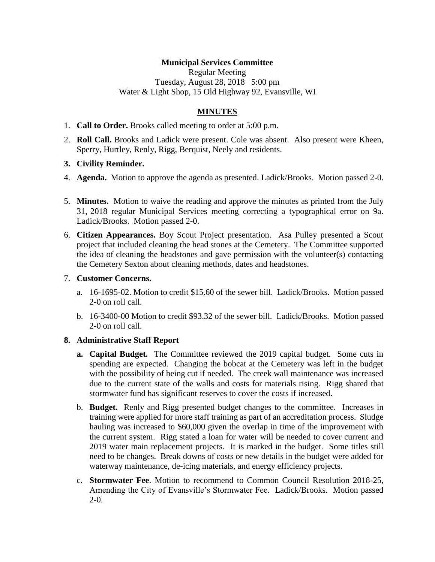# **Municipal Services Committee**

Regular Meeting Tuesday, August 28, 2018 5:00 pm Water & Light Shop, 15 Old Highway 92, Evansville, WI

# **MINUTES**

- 1. **Call to Order.** Brooks called meeting to order at 5:00 p.m.
- 2. **Roll Call.** Brooks and Ladick were present. Cole was absent. Also present were Kheen, Sperry, Hurtley, Renly, Rigg, Berquist, Neely and residents.

#### **3. Civility Reminder.**

- 4. **Agenda.** Motion to approve the agenda as presented. Ladick/Brooks. Motion passed 2-0.
- 5. **Minutes.** Motion to waive the reading and approve the minutes as printed from the July 31, 2018 regular Municipal Services meeting correcting a typographical error on 9a. Ladick/Brooks. Motion passed 2-0.
- 6. **Citizen Appearances.** Boy Scout Project presentation. Asa Pulley presented a Scout project that included cleaning the head stones at the Cemetery. The Committee supported the idea of cleaning the headstones and gave permission with the volunteer(s) contacting the Cemetery Sexton about cleaning methods, dates and headstones.

#### 7. **Customer Concerns.**

- a. 16-1695-02. Motion to credit \$15.60 of the sewer bill. Ladick/Brooks. Motion passed 2-0 on roll call.
- b. 16-3400-00 Motion to credit \$93.32 of the sewer bill. Ladick/Brooks. Motion passed 2-0 on roll call.

### **8. Administrative Staff Report**

- **a. Capital Budget.** The Committee reviewed the 2019 capital budget. Some cuts in spending are expected. Changing the bobcat at the Cemetery was left in the budget with the possibility of being cut if needed. The creek wall maintenance was increased due to the current state of the walls and costs for materials rising. Rigg shared that stormwater fund has significant reserves to cover the costs if increased.
- b. **Budget.** Renly and Rigg presented budget changes to the committee. Increases in training were applied for more staff training as part of an accreditation process. Sludge hauling was increased to \$60,000 given the overlap in time of the improvement with the current system. Rigg stated a loan for water will be needed to cover current and 2019 water main replacement projects. It is marked in the budget. Some titles still need to be changes. Break downs of costs or new details in the budget were added for waterway maintenance, de-icing materials, and energy efficiency projects.
- c. **Stormwater Fee**. Motion to recommend to Common Council Resolution 2018-25, Amending the City of Evansville's Stormwater Fee. Ladick/Brooks. Motion passed  $2-0.$